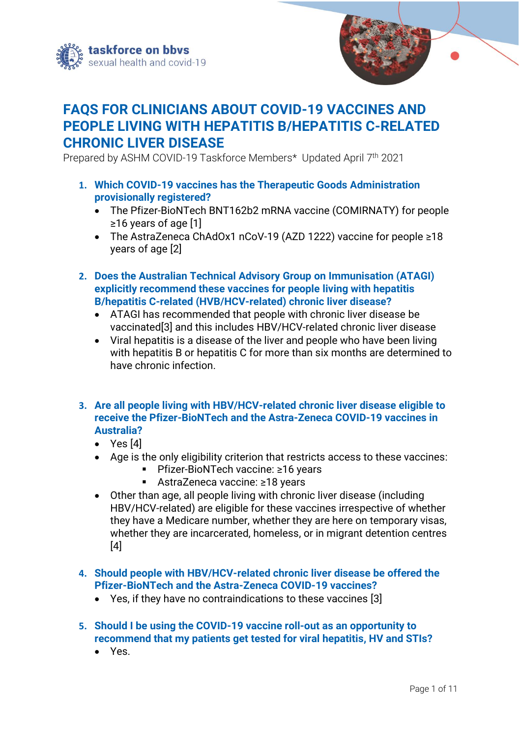



# **FAQS FOR CLINICIANS ABOUT COVID-19 VACCINES AND PEOPLE LIVING WITH HEPATITIS B/HEPATITIS C-RELATED CHRONIC LIVER DISEASE**

Prepared by ASHM COVID-19 Taskforce Members\* Updated April 7 th 2021

- **1. Which COVID-19 vaccines has the Therapeutic Goods Administration provisionally registered?**
	- The Pfizer-BioNTech BNT162b2 mRNA vaccine (COMIRNATY) for people ≥16 years of age [1]
	- The AstraZeneca ChAdOx1 nCoV-19 (AZD 1222) vaccine for people ≥18 years of age [2]
- **2. Does the Australian Technical Advisory Group on Immunisation (ATAGI) explicitly recommend these vaccines for people living with hepatitis B/hepatitis C-related (HVB/HCV-related) chronic liver disease?** 
	- ATAGI has recommended that people with chronic liver disease be vaccinated[3] and this includes HBV/HCV-related chronic liver disease
	- Viral hepatitis is a disease of the liver and people who have been living with hepatitis B or hepatitis C for more than six months are determined to have chronic infection.
- **3. Are all people living with HBV/HCV-related chronic liver disease eligible to receive the Pfizer-BioNTech and the Astra-Zeneca COVID-19 vaccines in Australia?**
	- Yes [4]
	- Age is the only eligibility criterion that restricts access to these vaccines:
		- Pfizer-BioNTech vaccine: ≥16 years
		- AstraZeneca vaccine: ≥18 years
	- Other than age, all people living with chronic liver disease (including HBV/HCV-related) are eligible for these vaccines irrespective of whether they have a Medicare number, whether they are here on temporary visas, whether they are incarcerated, homeless, or in migrant detention centres [4]
- **4. Should people with HBV/HCV-related chronic liver disease be offered the Pfizer-BioNTech and the Astra-Zeneca COVID-19 vaccines?**
	- Yes, if they have no contraindications to these vaccines [3]
- **5. Should I be using the COVID-19 vaccine roll-out as an opportunity to recommend that my patients get tested for viral hepatitis, HV and STIs?**
	- Yes.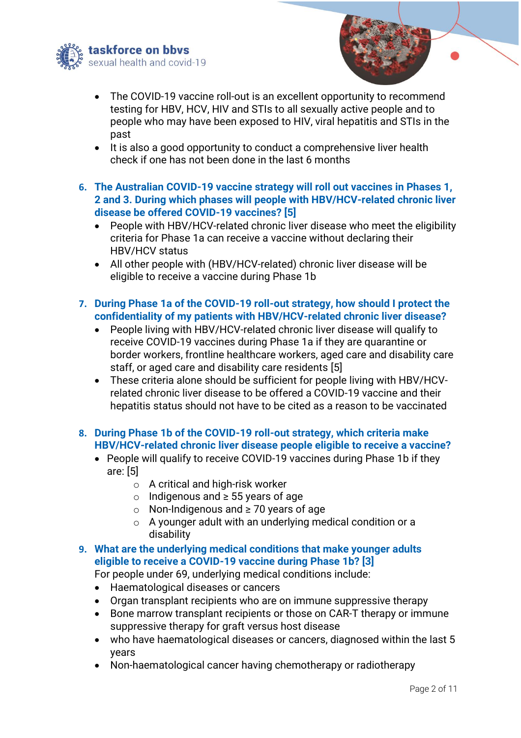



- The COVID-19 vaccine roll-out is an excellent opportunity to recommend testing for HBV, HCV, HIV and STIs to all sexually active people and to people who may have been exposed to HIV, viral hepatitis and STIs in the past
- It is also a good opportunity to conduct a comprehensive liver health check if one has not been done in the last 6 months
- **6. The Australian COVID-19 vaccine strategy will roll out vaccines in Phases 1, 2 and 3. During which phases will people with HBV/HCV-related chronic liver disease be offered COVID-19 vaccines? [5]**
	- People with HBV/HCV-related chronic liver disease who meet the eligibility criteria for Phase 1a can receive a vaccine without declaring their HBV/HCV status
	- All other people with (HBV/HCV-related) chronic liver disease will be eligible to receive a vaccine during Phase 1b
- **7. During Phase 1a of the COVID-19 roll-out strategy, how should I protect the confidentiality of my patients with HBV/HCV-related chronic liver disease?**
	- People living with HBV/HCV-related chronic liver disease will qualify to receive COVID-19 vaccines during Phase 1a if they are quarantine or border workers, frontline healthcare workers, aged care and disability care staff, or aged care and disability care residents [5]
	- These criteria alone should be sufficient for people living with HBV/HCVrelated chronic liver disease to be offered a COVID-19 vaccine and their hepatitis status should not have to be cited as a reason to be vaccinated
- **8. During Phase 1b of the COVID-19 roll-out strategy, which criteria make HBV/HCV-related chronic liver disease people eligible to receive a vaccine?**
	- People will qualify to receive COVID-19 vaccines during Phase 1b if they are: [5]
		- o A critical and high-risk worker
		- o Indigenous and ≥ 55 years of age
		- o Non-Indigenous and ≥ 70 years of age
		- o A younger adult with an underlying medical condition or a disability

# **9. What are the underlying medical conditions that make younger adults eligible to receive a COVID-19 vaccine during Phase 1b? [3]**

For people under 69, underlying medical conditions include:

- Haematological diseases or cancers
- Organ transplant recipients who are on immune suppressive therapy
- Bone marrow transplant recipients or those on CAR-T therapy or immune suppressive therapy for graft versus host disease
- who have haematological diseases or cancers, diagnosed within the last 5 years
- Non-haematological cancer having chemotherapy or radiotherapy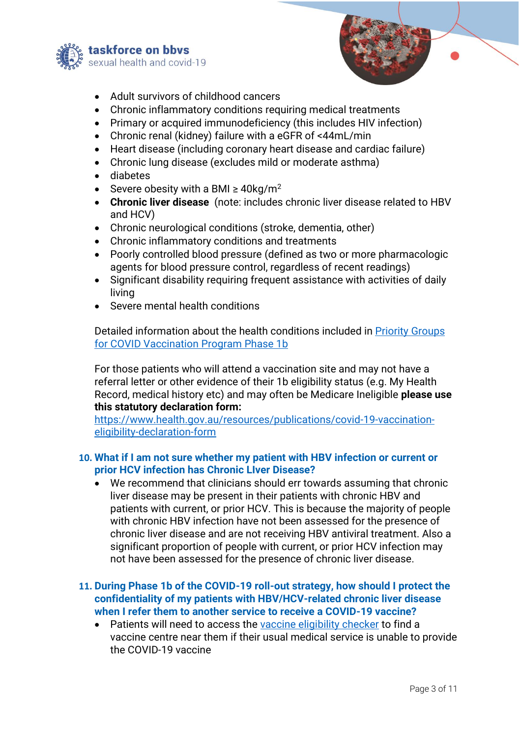



- Adult survivors of childhood cancers
- Chronic inflammatory conditions requiring medical treatments
- Primary or acquired immunodeficiency (this includes HIV infection)
- Chronic renal (kidney) failure with a eGFR of <44mL/min
- Heart disease (including coronary heart disease and cardiac failure)
- Chronic lung disease (excludes mild or moderate asthma)
- diabetes
- Severe obesity with a BMI  $\geq$  40kg/m<sup>2</sup>
- **Chronic liver disease** (note: includes chronic liver disease related to HBV and HCV)
- Chronic neurological conditions (stroke, dementia, other)
- Chronic inflammatory conditions and treatments
- Poorly controlled blood pressure (defined as two or more pharmacologic agents for blood pressure control, regardless of recent readings)
- Significant disability requiring frequent assistance with activities of daily living
- Severe mental health conditions

Detailed information about the health conditions included in [Priority Groups](https://www.health.gov.au/sites/default/files/documents/2021/03/priority-groups-for-covid-19-vaccination-program-phase-1b_1.pdf)  [for COVID Vaccination](https://www.health.gov.au/sites/default/files/documents/2021/03/priority-groups-for-covid-19-vaccination-program-phase-1b_1.pdf) Program Phase 1b

For those patients who will attend a vaccination site and may not have a referral letter or other evidence of their 1b eligibility status (e.g. My Health Record, medical history etc) and may often be Medicare Ineligible **please use this statutory declaration form:**

[https://www.health.gov.au/resources/publications/covid-19-vaccination](https://aus01.safelinks.protection.outlook.com/?url=https%3A%2F%2Fwww.health.gov.au%2Fresources%2Fpublications%2Fcovid-19-vaccination-eligibility-declaration-form&data=04%7C01%7CScott.McGill%40ashm.org.au%7Cfec22d51227b4f62139808d8ea31b85a%7C44f1def77fcc4b9b8c9438214865f1b5%7C1%7C0%7C637516846561138380%7CUnknown%7CTWFpbGZsb3d8eyJWIjoiMC4wLjAwMDAiLCJQIjoiV2luMzIiLCJBTiI6Ik1haWwiLCJXVCI6Mn0%3D%7C1000&sdata=UdKeGgJnfICGKIAz15COMd2cHhK8SpPYGiIMCtD7gzE%3D&reserved=0)[eligibility-declaration-form](https://aus01.safelinks.protection.outlook.com/?url=https%3A%2F%2Fwww.health.gov.au%2Fresources%2Fpublications%2Fcovid-19-vaccination-eligibility-declaration-form&data=04%7C01%7CScott.McGill%40ashm.org.au%7Cfec22d51227b4f62139808d8ea31b85a%7C44f1def77fcc4b9b8c9438214865f1b5%7C1%7C0%7C637516846561138380%7CUnknown%7CTWFpbGZsb3d8eyJWIjoiMC4wLjAwMDAiLCJQIjoiV2luMzIiLCJBTiI6Ik1haWwiLCJXVCI6Mn0%3D%7C1000&sdata=UdKeGgJnfICGKIAz15COMd2cHhK8SpPYGiIMCtD7gzE%3D&reserved=0)

#### **10. What if I am not sure whether my patient with HBV infection or current or prior HCV infection has Chronic LIver Disease?**

We recommend that clinicians should err towards assuming that chronic liver disease may be present in their patients with chronic HBV and patients with current, or prior HCV. This is because the majority of people with chronic HBV infection have not been assessed for the presence of chronic liver disease and are not receiving HBV antiviral treatment. Also a significant proportion of people with current, or prior HCV infection may not have been assessed for the presence of chronic liver disease.

## **11. During Phase 1b of the COVID-19 roll-out strategy, how should I protect the confidentiality of my patients with HBV/HCV-related chronic liver disease when I refer them to another service to receive a COVID-19 vaccine?**

• Patients will need to access the [vaccine eligibility checker](https://covid-vaccine.healthdirect.gov.au/) to find a vaccine centre near them if their usual medical service is unable to provide the COVID-19 vaccine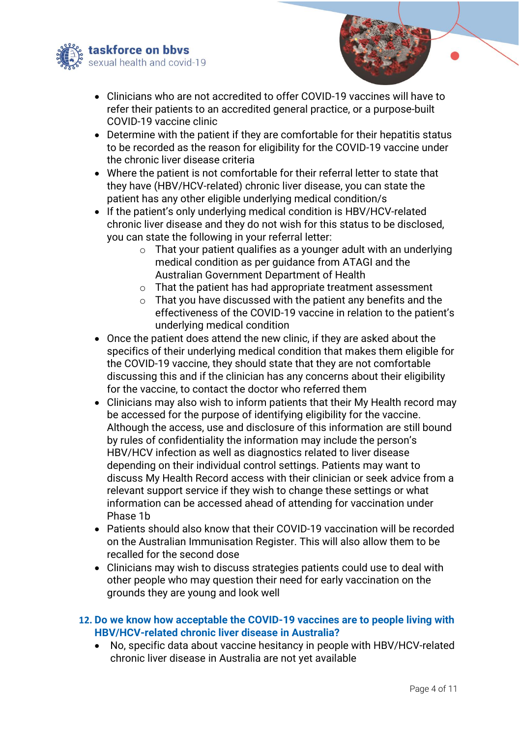



- Clinicians who are not accredited to offer COVID-19 vaccines will have to refer their patients to an accredited general practice, or a purpose-built COVID-19 vaccine clinic
- Determine with the patient if they are comfortable for their hepatitis status to be recorded as the reason for eligibility for the COVID-19 vaccine under the chronic liver disease criteria
- Where the patient is not comfortable for their referral letter to state that they have (HBV/HCV-related) chronic liver disease, you can state the patient has any other eligible underlying medical condition/s
- If the patient's only underlying medical condition is HBV/HCV-related chronic liver disease and they do not wish for this status to be disclosed, you can state the following in your referral letter:
	- $\circ$  That your patient qualifies as a younger adult with an underlying medical condition as per guidance from ATAGI and the Australian Government Department of Health
	- o That the patient has had appropriate treatment assessment
	- o That you have discussed with the patient any benefits and the effectiveness of the COVID-19 vaccine in relation to the patient's underlying medical condition
- Once the patient does attend the new clinic, if they are asked about the specifics of their underlying medical condition that makes them eligible for the COVID-19 vaccine, they should state that they are not comfortable discussing this and if the clinician has any concerns about their eligibility for the vaccine, to contact the doctor who referred them
- Clinicians may also wish to inform patients that their My Health record may be accessed for the purpose of identifying eligibility for the vaccine. Although the access, use and disclosure of this information are still bound by rules of confidentiality the information may include the person's HBV/HCV infection as well as diagnostics related to liver disease depending on their individual control settings. Patients may want to discuss My Health Record access with their clinician or seek advice from a relevant support service if they wish to change these settings or what information can be accessed ahead of attending for vaccination under Phase 1b
- Patients should also know that their COVID-19 vaccination will be recorded on the Australian Immunisation Register. This will also allow them to be recalled for the second dose
- Clinicians may wish to discuss strategies patients could use to deal with other people who may question their need for early vaccination on the grounds they are young and look well
- **12. Do we know how acceptable the COVID-19 vaccines are to people living with HBV/HCV-related chronic liver disease in Australia?**
	- No, specific data about vaccine hesitancy in people with HBV/HCV-related chronic liver disease in Australia are not yet available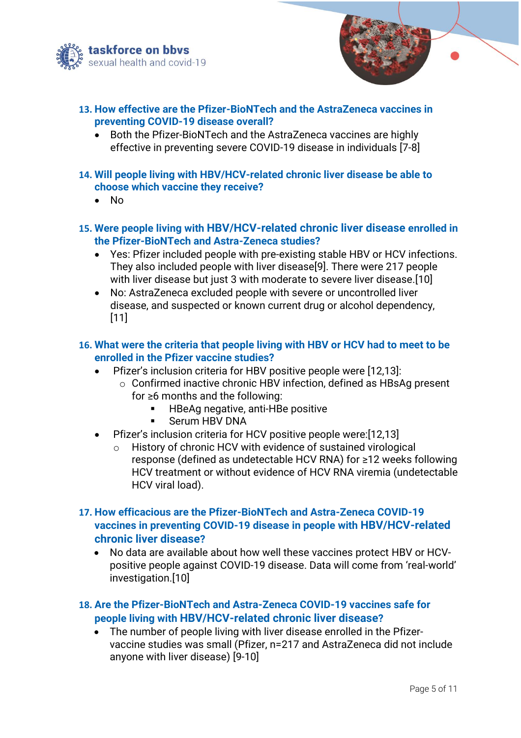



- **13. How effective are the Pfizer-BioNTech and the AstraZeneca vaccines in preventing COVID-19 disease overall?**
	- Both the Pfizer-BioNTech and the AstraZeneca vaccines are highly effective in preventing severe COVID-19 disease in individuals [7-8]
- **14. Will people living with HBV/HCV-related chronic liver disease be able to choose which vaccine they receive?**
	- No
- **15. Were people living with HBV/HCV-related chronic liver disease enrolled in the Pfizer-BioNTech and Astra-Zeneca studies?**
	- Yes: Pfizer included people with pre-existing stable HBV or HCV infections. They also included people with liver disease[9]. There were 217 people with liver disease but just 3 with moderate to severe liver disease.[10]
	- No: AstraZeneca excluded people with severe or uncontrolled liver disease, and suspected or known current drug or alcohol dependency, [11]
- **16. What were the criteria that people living with HBV or HCV had to meet to be enrolled in the Pfizer vaccine studies?**
	- Pfizer's inclusion criteria for HBV positive people were [12,13]:
		- o Confirmed inactive chronic HBV infection, defined as HBsAg present for ≥6 months and the following:
			- HBeAg negative, anti-HBe positive
			- Serum HBV DNA
	- Pfizer's inclusion criteria for HCV positive people were:[12,13]
		- o History of chronic HCV with evidence of sustained virological response (defined as undetectable HCV RNA) for ≥12 weeks following HCV treatment or without evidence of HCV RNA viremia (undetectable HCV viral load).
- **17. How efficacious are the Pfizer-BioNTech and Astra-Zeneca COVID-19 vaccines in preventing COVID-19 disease in people with HBV/HCV-related chronic liver disease?**
	- No data are available about how well these vaccines protect HBV or HCVpositive people against COVID-19 disease. Data will come from 'real-world' investigation.[10]
- **18. Are the Pfizer-BioNTech and Astra-Zeneca COVID-19 vaccines safe for people living with HBV/HCV-related chronic liver disease?**
	- The number of people living with liver disease enrolled in the Pfizervaccine studies was small (Pfizer, n=217 and AstraZeneca did not include anyone with liver disease) [9-10]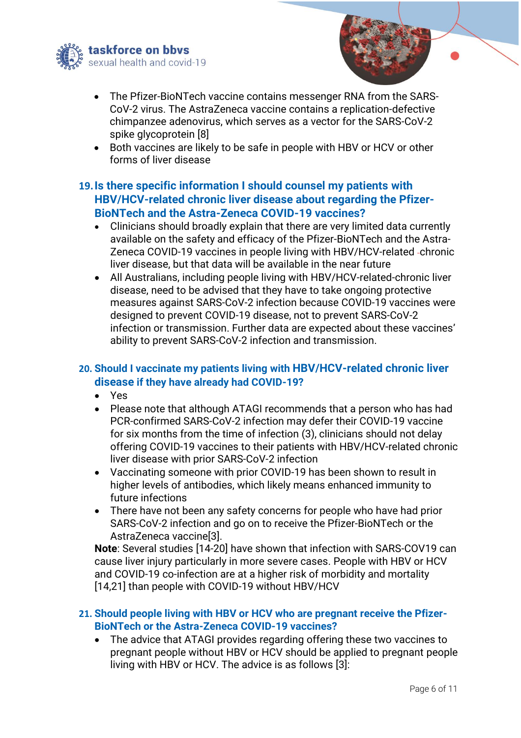



- The Pfizer-BioNTech vaccine contains messenger RNA from the SARS-CoV-2 virus. The AstraZeneca vaccine contains a replication-defective chimpanzee adenovirus, which serves as a vector for the SARS-CoV-2 spike glycoprotein [8]
- Both vaccines are likely to be safe in people with HBV or HCV or other forms of liver disease

# **19.Is there specific information I should counsel my patients with HBV/HCV-related chronic liver disease about regarding the Pfizer-BioNTech and the Astra-Zeneca COVID-19 vaccines?**

- Clinicians should broadly explain that there are very limited data currently available on the safety and efficacy of the Pfizer-BioNTech and the Astra-Zeneca COVID-19 vaccines in people living with HBV/HCV-related chronic liver disease, but that data will be available in the near future
- All Australians, including people living with HBV/HCV-related-chronic liver disease, need to be advised that they have to take ongoing protective measures against SARS-CoV-2 infection because COVID-19 vaccines were designed to prevent COVID-19 disease, not to prevent SARS-CoV-2 infection or transmission. Further data are expected about these vaccines' ability to prevent SARS-CoV-2 infection and transmission.

# **20. Should I vaccinate my patients living with HBV/HCV-related chronic liver disease if they have already had COVID-19?**

- Yes
- Please note that although ATAGI recommends that a person who has had PCR-confirmed SARS-CoV-2 infection may defer their COVID-19 vaccine for six months from the time of infection (3), clinicians should not delay offering COVID-19 vaccines to their patients with HBV/HCV-related chronic liver disease with prior SARS-CoV-2 infection
- Vaccinating someone with prior COVID-19 has been shown to result in higher levels of antibodies, which likely means enhanced immunity to future infections
- There have not been any safety concerns for people who have had prior SARS-CoV-2 infection and go on to receive the Pfizer-BioNTech or the AstraZeneca vaccine[3].

**Note**: Several studies [14-20] have shown that infection with SARS-COV19 can cause liver injury particularly in more severe cases. People with HBV or HCV and COVID-19 co-infection are at a higher risk of morbidity and mortality [14,21] than people with COVID-19 without HBV/HCV

## **21. Should people living with HBV or HCV who are pregnant receive the Pfizer-BioNTech or the Astra-Zeneca COVID-19 vaccines?**

• The advice that ATAGI provides regarding offering these two vaccines to pregnant people without HBV or HCV should be applied to pregnant people living with HBV or HCV. The advice is as follows [3]: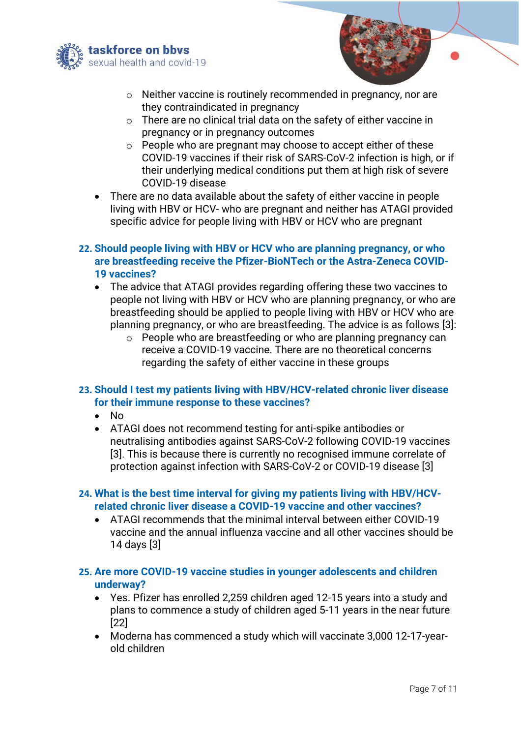



- o Neither vaccine is routinely recommended in pregnancy, nor are they contraindicated in pregnancy
- o There are no clinical trial data on the safety of either vaccine in pregnancy or in pregnancy outcomes
- o People who are pregnant may choose to accept either of these COVID-19 vaccines if their risk of SARS-CoV-2 infection is high, or if their underlying medical conditions put them at high risk of severe COVID-19 disease
- There are no data available about the safety of either vaccine in people living with HBV or HCV- who are pregnant and neither has ATAGI provided specific advice for people living with HBV or HCV who are pregnant
- **22. Should people living with HBV or HCV who are planning pregnancy, or who are breastfeeding receive the Pfizer-BioNTech or the Astra-Zeneca COVID-19 vaccines?**
	- The advice that ATAGI provides regarding offering these two vaccines to people not living with HBV or HCV who are planning pregnancy, or who are breastfeeding should be applied to people living with HBV or HCV who are planning pregnancy, or who are breastfeeding. The advice is as follows [3]:
		- o People who are breastfeeding or who are planning pregnancy can receive a COVID-19 vaccine. There are no theoretical concerns regarding the safety of either vaccine in these groups

## **23. Should I test my patients living with HBV/HCV-related chronic liver disease for their immune response to these vaccines?**

- No
- ATAGI does not recommend testing for anti-spike antibodies or neutralising antibodies against SARS-CoV-2 following COVID-19 vaccines [3]. This is because there is currently no recognised immune correlate of protection against infection with SARS-CoV-2 or COVID-19 disease [3]

## **24. What is the best time interval for giving my patients living with HBV/HCVrelated chronic liver disease a COVID-19 vaccine and other vaccines?**

- ATAGI recommends that the minimal interval between either COVID-19 vaccine and the annual influenza vaccine and all other vaccines should be 14 days [3]
- **25. Are more COVID-19 vaccine studies in younger adolescents and children underway?**
	- Yes. Pfizer has enrolled 2,259 children aged 12-15 years into a study and plans to commence a study of children aged 5-11 years in the near future [22]
	- Moderna has commenced a study which will vaccinate 3,000 12-17-yearold children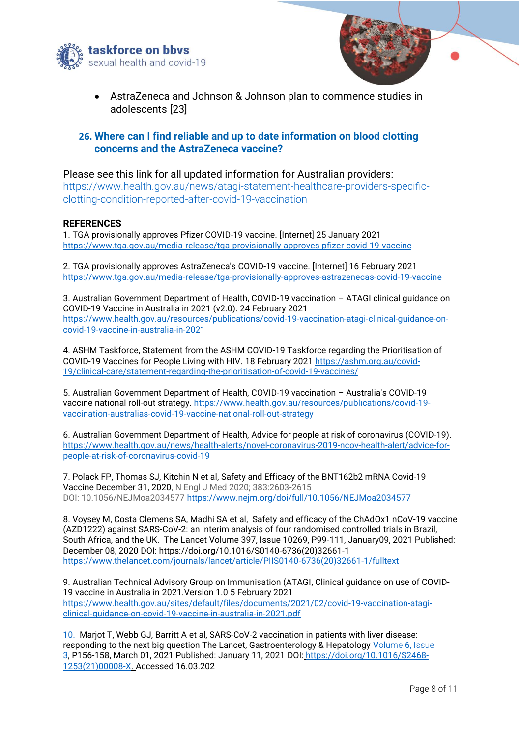



• AstraZeneca and Johnson & Johnson plan to commence studies in adolescents [23]

#### **26. Where can I find reliable and up to date information on blood clotting concerns and the AstraZeneca vaccine?**

#### Please see this link for all updated information for Australian providers:

[https://www.health.gov.au/news/atagi-statement-healthcare-providers-specific](https://www.health.gov.au/news/atagi-statement-healthcare-providers-specific-clotting-condition-reported-after-covid-19-vaccination)[clotting-condition-reported-after-covid-19-vaccination](https://www.health.gov.au/news/atagi-statement-healthcare-providers-specific-clotting-condition-reported-after-covid-19-vaccination)

#### **REFERENCES**

1. TGA provisionally approves Pfizer COVID-19 vaccine. [Internet] 25 January 2021 <https://www.tga.gov.au/media-release/tga-provisionally-approves-pfizer-covid-19-vaccine>

2. TGA provisionally approves AstraZeneca's COVID-19 vaccine. [Internet] 16 February 2021 <https://www.tga.gov.au/media-release/tga-provisionally-approves-astrazenecas-covid-19-vaccine>

3. Australian Government Department of Health, COVID-19 vaccination – ATAGI clinical guidance on COVID-19 Vaccine in Australia in 2021 (v2.0). 24 February 2021 [https://www.health.gov.au/resources/publications/covid-19-vaccination-atagi-clinical-guidance-on](https://www.health.gov.au/resources/publications/covid-19-vaccination-atagi-clinical-guidance-on-covid-19-vaccine-in-australia-in-2021)[covid-19-vaccine-in-australia-in-2021](https://www.health.gov.au/resources/publications/covid-19-vaccination-atagi-clinical-guidance-on-covid-19-vaccine-in-australia-in-2021)

4. ASHM Taskforce, Statement from the ASHM COVID-19 Taskforce regarding the Prioritisation of COVID-19 Vaccines for People Living with HIV. 18 February 2021 [https://ashm.org.au/covid-](https://ashm.org.au/covid-19/clinical-care/statement-regarding-the-prioritisation-of-covid-19-vaccines/)[19/clinical-care/statement-regarding-the-prioritisation-of-covid-19-vaccines/](https://ashm.org.au/covid-19/clinical-care/statement-regarding-the-prioritisation-of-covid-19-vaccines/)

5. Australian Government Department of Health, COVID-19 vaccination – Australia's COVID-19 vaccine national roll-out strategy. [https://www.health.gov.au/resources/publications/covid-19](https://www.health.gov.au/resources/publications/covid-19-vaccination-australias-covid-19-vaccine-national-roll-out-strategy) [vaccination-australias-covid-19-vaccine-national-roll-out-strategy](https://www.health.gov.au/resources/publications/covid-19-vaccination-australias-covid-19-vaccine-national-roll-out-strategy)

6. Australian Government Department of Health, Advice for people at risk of coronavirus (COVID-19). [https://www.health.gov.au/news/health-alerts/novel-coronavirus-2019-ncov-health-alert/advice-for](https://www.health.gov.au/news/health-alerts/novel-coronavirus-2019-ncov-health-alert/advice-for-people-at-risk-of-coronavirus-covid-19)[people-at-risk-of-coronavirus-covid-19](https://www.health.gov.au/news/health-alerts/novel-coronavirus-2019-ncov-health-alert/advice-for-people-at-risk-of-coronavirus-covid-19)

7. Polack FP, Thomas SJ, Kitchin N et al, Safety and Efficacy of the BNT162b2 mRNA Covid-19 Vaccine [December 31, 2020,](https://www.nejm.org/toc/nejm/383/27?query=article_issue_link) N Engl J Med 2020; 383:2603-2615 DOI: 10.1056/NEJMoa2034577<https://www.nejm.org/doi/full/10.1056/NEJMoa2034577>

8. Voysey M, Costa Clemens SA, Madhi SA et al, Safety and efficacy of the ChAdOx1 nCoV-19 vaccine (AZD1222) against SARS-CoV-2: an interim analysis of four randomised controlled trials in Brazil, South Africa, and the UK. The Lancet Volume 397, Issue 10269, P99-111, January09, 2021 Published: December 08, 2020 DOI: https://doi.org/10.1016/S0140-6736(20)32661-1 [https://www.thelancet.com/journals/lancet/article/PIIS0140-6736\(20\)32661-1/fulltext](https://www.thelancet.com/journals/lancet/article/PIIS0140-6736(20)32661-1/fulltext)

9. Australian Technical Advisory Group on Immunisation (ATAGI, Clinical guidance on use of COVID-19 vaccine in Australia in 2021.Version 1.0 5 February 2021 [https://www.health.gov.au/sites/default/files/documents/2021/02/covid-19-vaccination-atagi](https://www.health.gov.au/sites/default/files/documents/2021/02/covid-19-vaccination-atagi-clinical-guidance-on-covid-19-vaccine-in-australia-in-2021.pdf)[clinical-guidance-on-covid-19-vaccine-in-australia-in-2021.pdf](https://www.health.gov.au/sites/default/files/documents/2021/02/covid-19-vaccination-atagi-clinical-guidance-on-covid-19-vaccine-in-australia-in-2021.pdf)

10. Marjot T, Webb GJ, Barritt A et al, SARS-CoV-2 vaccination in patients with liver disease: responding to the next big question The Lancet, Gastroenterology & Hepatology V[olume](https://www.thelancet.com/journals/langas/issue/vol6no3/PIIS2468-1253(21)X0002-7) 6, Issue [3,](https://www.thelancet.com/journals/langas/issue/vol6no3/PIIS2468-1253(21)X0002-7) P156-158, March 01, 2021 Published: January 11, 2021 DOI: [https://doi.org/10.1016/S2468-](https://doi.org/10.1016/S2468-1253(21)00008-X) [1253\(21\)00008-X.](https://doi.org/10.1016/S2468-1253(21)00008-X) Accessed 16.03.202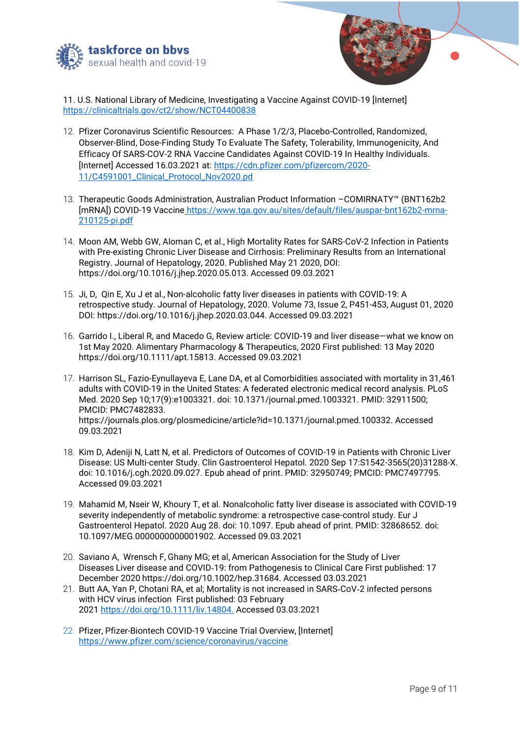



11. U.S. National Library of Medicine, Investigating a Vaccine Against COVID-19 [Internet] <https://clinicaltrials.gov/ct2/show/NCT04400838>

- 12. Pfizer Coronavirus Scientific Resources: A Phase 1/2/3, Placebo-Controlled, Randomized, Observer-Blind, Dose-Finding Study To Evaluate The Safety, Tolerability, Immunogenicity, And Efficacy Of SARS-COV-2 RNA Vaccine Candidates Against COVID-19 In Healthy Individuals. [Internet] Accessed 16.03.2021 at: [https://cdn.pfizer.com/pfizercom/2020-](https://cdn.pfizer.com/pfizercom/2020-11/C4591001_Clinical_Protocol_Nov2020.pd) [11/C4591001\\_Clinical\\_Protocol\\_Nov2020.pd](https://cdn.pfizer.com/pfizercom/2020-11/C4591001_Clinical_Protocol_Nov2020.pd)
- 13. Therapeutic Goods Administration, Australian Product Information –COMIRNATY™ (BNT162b2 [mRNA]) COVID-19 Vaccine [https://www.tga.gov.au/sites/default/files/auspar-bnt162b2-mrna-](https://www.tga.gov.au/sites/default/files/auspar-bnt162b2-mrna-210125-pi.pdf)[210125-pi.pdf](https://www.tga.gov.au/sites/default/files/auspar-bnt162b2-mrna-210125-pi.pdf)
- 14. Moon AM, Webb GW, Aloman C, et al., High Mortality Rates for SARS-CoV-2 Infection in Patients with Pre-existing Chronic Liver Disease and Cirrhosis: Preliminary Results from an International Registry. Journal of Hepatology, 2020. Published May 21 2020, DOI: https://doi.org/10.1016/j.jhep.2020.05.013. Accessed 09.03.2021
- 15. Ji, D, Qin E, Xu J et al., Non-alcoholic fatty liver diseases in patients with COVID-19: A retrospective study. Journal of Hepatology, 2020. Volume 73, Issue 2, P451-453, August 01, 2020 DOI: https://doi.org/10.1016/j.jhep.2020.03.044. Accessed 09.03.2021
- 16. Garrido I., Liberal R, and Macedo G, Review article: COVID-19 and liver disease—what we know on 1st May 2020. Alimentary Pharmacology & Therapeutics, 2020 First published: 13 May 2020 https://doi.org/10.1111/apt.15813. Accessed 09.03.2021
- 17. Harrison SL, Fazio-Eynullayeva E, Lane DA, et al Comorbidities associated with mortality in 31,461 adults with COVID-19 in the United States: A federated electronic medical record analysis. PLoS Med. 2020 Sep 10;17(9):e1003321. doi: 10.1371/journal.pmed.1003321. PMID: 32911500; PMCID: PMC7482833. https://journals.plos.org/plosmedicine/article?id=10.1371/journal.pmed.100332. Accessed 09.03.2021
- 18. Kim D, Adeniji N, Latt N, et al. Predictors of Outcomes of COVID-19 in Patients with Chronic Liver Disease: US Multi-center Study. Clin Gastroenterol Hepatol. 2020 Sep 17:S1542-3565(20)31288-X. doi: 10.1016/j.cgh.2020.09.027. Epub ahead of print. PMID: 32950749; PMCID: PMC7497795. Accessed 09.03.2021
- 19. Mahamid M, Nseir W, Khoury T, et al. Nonalcoholic fatty liver disease is associated with COVID-19 severity independently of metabolic syndrome: a retrospective case-control study. Eur J Gastroenterol Hepatol. 2020 Aug 28. doi: 10.1097. Epub ahead of print. PMID: 32868652. doi: 10.1097/MEG.0000000000001902. Accessed 09.03.2021
- 20. Saviano A, Wrensch F, Ghany MG; et al, American Association for the Study of Liver Diseases Liver disease and COVID‐19: from Pathogenesis to Clinical Care First published: 17 December 2020 https://doi.org/10.1002/hep.31684. Accessed 03.03.2021
- 21. Butt AA, Yan P, Chotani RA, et al; Mortality is not increased in SARS‐CoV‐2 infected persons with HCV virus infection First published: 03 February 2021 [https://doi.org/10.1111/liv.14804.](https://doi.org/10.1111/liv.14804) Accessed 03.03.2021
- 22. Pfizer, Pfizer-Biontech COVID-19 Vaccine Trial Overview, [Internet] https://www.pfizer.com/science/coronavirus/vaccine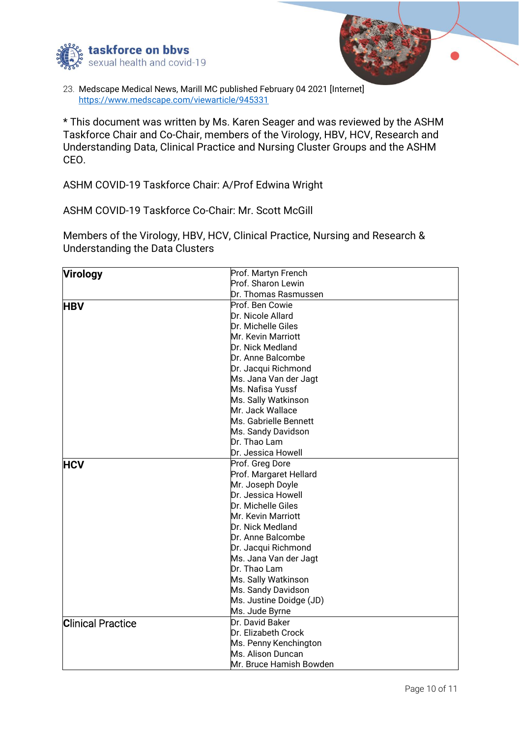



23. Medscape Medical News, Marill MC published February 04 2021 [Internet] <https://www.medscape.com/viewarticle/945331>

\* This document was written by Ms. Karen Seager and was reviewed by the ASHM Taskforce Chair and Co-Chair, members of the Virology, HBV, HCV, Research and Understanding Data, Clinical Practice and Nursing Cluster Groups and the ASHM CEO.

ASHM COVID-19 Taskforce Chair: A/Prof Edwina Wright

ASHM COVID-19 Taskforce Co-Chair: Mr. Scott McGill

Members of the Virology, HBV, HCV, Clinical Practice, Nursing and Research & Understanding the Data Clusters

| <b>Virology</b>          | Prof. Martyn French     |
|--------------------------|-------------------------|
|                          | Prof. Sharon Lewin      |
|                          | Dr. Thomas Rasmussen    |
| <b>HBV</b>               | Prof. Ben Cowie         |
|                          | Dr. Nicole Allard       |
|                          | Dr. Michelle Giles      |
|                          | Mr. Kevin Marriott      |
|                          | Dr. Nick Medland        |
|                          | Dr. Anne Balcombe       |
|                          | Dr. Jacqui Richmond     |
|                          | Ms. Jana Van der Jagt   |
|                          | Ms. Nafisa Yussf        |
|                          | Ms. Sally Watkinson     |
|                          | Mr. Jack Wallace        |
|                          | Ms. Gabrielle Bennett   |
|                          | Ms. Sandy Davidson      |
|                          | Dr. Thao Lam            |
|                          | Dr. Jessica Howell      |
| <b>HCV</b>               | Prof. Greg Dore         |
|                          | Prof. Margaret Hellard  |
|                          | Mr. Joseph Doyle        |
|                          | Dr. Jessica Howell      |
|                          | Dr. Michelle Giles      |
|                          | Mr. Kevin Marriott      |
|                          | Dr. Nick Medland        |
|                          | Dr. Anne Balcombe       |
|                          | Dr. Jacqui Richmond     |
|                          | Ms. Jana Van der Jagt   |
|                          | Dr. Thao Lam            |
|                          | Ms. Sally Watkinson     |
|                          | Ms. Sandy Davidson      |
|                          | Ms. Justine Doidge (JD) |
|                          | Ms. Jude Byrne          |
| <b>Clinical Practice</b> | Dr. David Baker         |
|                          | Dr. Elizabeth Crock     |
|                          | Ms. Penny Kenchington   |
|                          | Ms. Alison Duncan       |
|                          | Mr. Bruce Hamish Bowden |